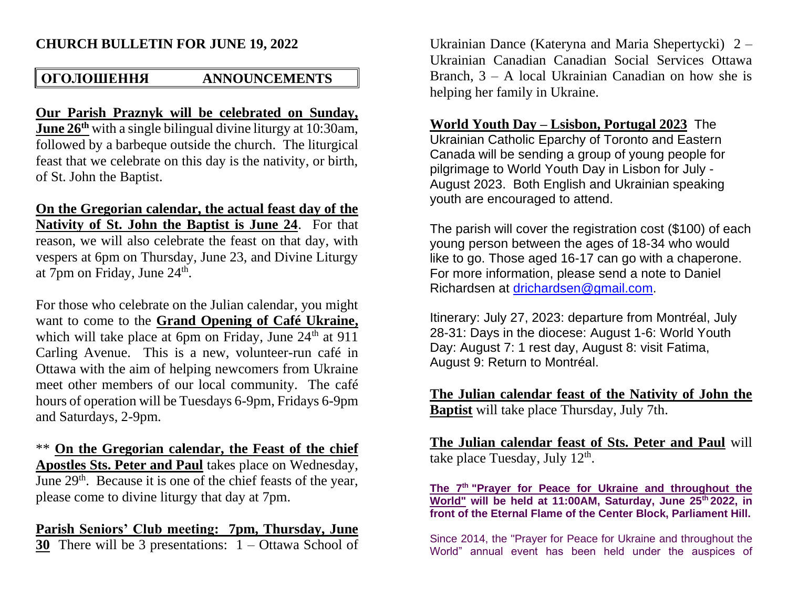### **CHURCH BULLETIN FOR JUNE 19, 2022**

### **ОГОЛОШЕННЯ ANNOUNCEMENTS**

**Our Parish Praznyk will be celebrated on Sunday, June 26th** with a single bilingual divine liturgy at 10:30am, followed by a barbeque outside the church. The liturgical feast that we celebrate on this day is the nativity, or birth, of St. John the Baptist.

**On the Gregorian calendar, the actual feast day of the Nativity of St. John the Baptist is June 24**. For that reason, we will also celebrate the feast on that day, with vespers at 6pm on Thursday, June 23, and Divine Liturgy at 7pm on Friday, June 24<sup>th</sup>.

For those who celebrate on the Julian calendar, you might want to come to the **Grand Opening of Café Ukraine,** which will take place at 6pm on Friday, June  $24<sup>th</sup>$  at 911 Carling Avenue. This is a new, volunteer-run café in Ottawa with the aim of helping newcomers from Ukraine meet other members of our local community. The café hours of operation will be Tuesdays 6-9pm, Fridays 6-9pm and Saturdays, 2-9pm.

\*\* **On the Gregorian calendar, the Feast of the chief Apostles Sts. Peter and Paul** takes place on Wednesday, June 29<sup>th</sup>. Because it is one of the chief feasts of the year, please come to divine liturgy that day at 7pm.

## **Parish Seniors' Club meeting: 7pm, Thursday, June**

**30** There will be 3 presentations: 1 – Ottawa School of

Ukrainian Dance (Kateryna and Maria Shepertycki) 2 – Ukrainian Canadian Canadian Social Services Ottawa Branch, 3 – A local Ukrainian Canadian on how she is helping her family in Ukraine.

### **World Youth Day – Lsisbon, Portugal 2023** The

Ukrainian Catholic Eparchy of Toronto and Eastern Canada will be sending a group of young people for pilgrimage to World Youth Day in Lisbon for July - August 2023. Both English and Ukrainian speaking youth are encouraged to attend.

The parish will cover the registration cost (\$100) of each young person between the ages of 18-34 who would like to go. Those aged 16-17 can go with a chaperone. For more information, please send a note to Daniel Richardsen at [drichardsen@gmail.com.](mailto:drichardsen@gmail.com)

Itinerary: July 27, 2023: departure from Montréal, July 28-31: Days in the diocese: August 1-6: World Youth Day: August 7: 1 rest day, August 8: visit Fatima, August 9: Return to Montréal.

**The Julian calendar feast of the Nativity of John the Baptist** will take place Thursday, July 7th.

**The Julian calendar feast of Sts. Peter and Paul** will take place Tuesday, July  $12<sup>th</sup>$ .

**The 7th "Prayer for Peace for Ukraine and throughout the World" will be held at 11:00AM, Saturday, June 25th 2022, in front of the Eternal Flame of the Center Block, Parliament Hill.**

Since 2014, the "Prayer for Peace for Ukraine and throughout the World" annual event has been held under the auspices of